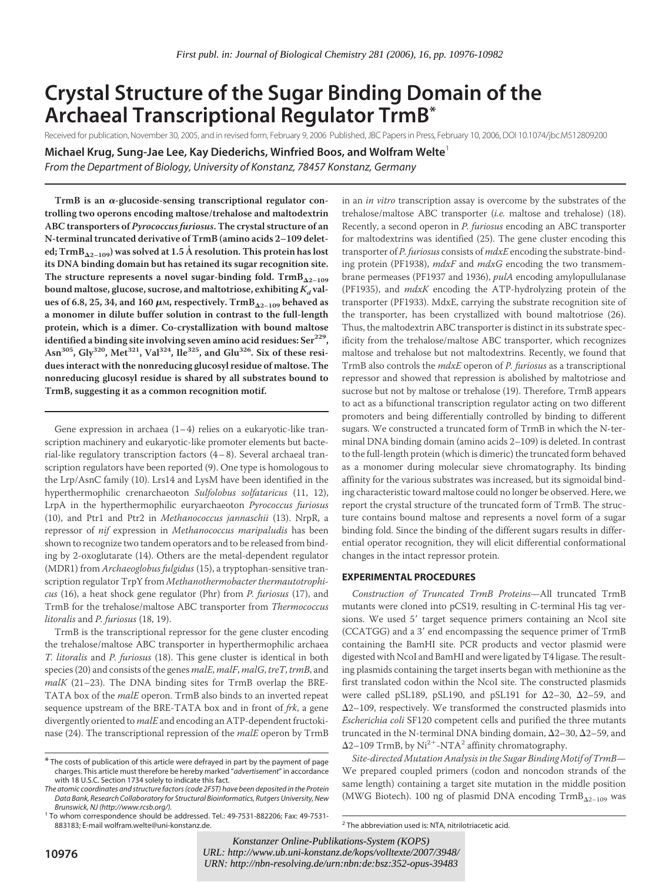# **Crystal Structure of the Sugar Binding Domain of the Archaeal Transcriptional Regulator TrmB\***

Received for publication, November 30, 2005, and in revised form, February 9, 2006 Published, JBC Papers in Press, February 10, 2006, DOI 10.1074/jbc.M512809200

**Michael Krug, Sung-Jae Lee, Kay Diederichs, Winfried Boos, and Wolfram Welte**<sup>1</sup>

*From the Department of Biology, University of Konstanz, 78457 Konstanz, Germany*

TrmB is an  $\alpha$ -glucoside-sensing transcriptional regulator con**trolling two operons encoding maltose/trehalose and maltodextrin ABC transporters of** *Pyrococcus furiosus***. The crystal structure of an N-terminal truncated derivative of TrmB (amino acids 2–109 deleted; TrmB**-**2–109) was solved at 1.5 A˚ resolution. This protein has lost its DNA binding domain but has retained its sugar recognition site.** The structure represents a novel sugar-binding fold.  $\text{Trm} \text{B}_{\Delta 2-109}$ bound maltose, glucose, sucrose, and maltotriose, exhibiting  $K_d$  val**ues of 6.8, 25, 34, and 160 M, respectively. TrmB**-**2–109 behaved as a monomer in dilute buffer solution in contrast to the full-length protein, which is a dimer. Co-crystallization with bound maltose identified a binding site involving seven amino acid residues: Ser229,** Asn<sup>305</sup>, Gly<sup>320</sup>, Met<sup>321</sup>, Val<sup>324</sup>, Ile<sup>325</sup>, and Glu<sup>326</sup>. Six of these resi**dues interact with the nonreducing glucosyl residue of maltose. The nonreducing glucosyl residue is shared by all substrates bound to TrmB, suggesting it as a common recognition motif.**

Gene expression in archaea (1–4) relies on a eukaryotic-like transcription machinery and eukaryotic-like promoter elements but bacterial-like regulatory transcription factors (4–8). Several archaeal transcription regulators have been reported (9). One type is homologous to the Lrp/AsnC family (10). Lrs14 and LysM have been identified in the hyperthermophilic crenarchaeoton *Sulfolobus solfataricus* (11, 12), LrpA in the hyperthermophilic euryarchaeoton *Pyrococcus furiosus* (10), and Ptr1 and Ptr2 in *Methanococcus jannaschii* (13). NrpR, a repressor of *nif* expression in *Methanococcus maripaludis* has been shown to recognize two tandem operators and to be released from binding by 2-oxoglutarate (14). Others are the metal-dependent regulator (MDR1) from *Archaeoglobus fulgidus* (15), a tryptophan-sensitive transcription regulator TrpY from *Methanothermobacter thermautotrophicus* (16), a heat shock gene regulator (Phr) from *P. furiosus* (17), and TrmB for the trehalose/maltose ABC transporter from *Thermococcus litoralis* and *P. furiosus* (18, 19).

TrmB is the transcriptional repressor for the gene cluster encoding the trehalose/maltose ABC transporter in hyperthermophilic archaea *T. litoralis* and *P. furiosus* (18). This gene cluster is identical in both species (20) and consists of the genes *malE*, *malF*, *malG*, *treT*, *trmB*, and *malK* (21–23). The DNA binding sites for TrmB overlap the BRE-TATA box of the *malE* operon. TrmB also binds to an inverted repeat sequence upstream of the BRE-TATA box and in front of *frk*, a gene divergently oriented to *malE* and encoding an ATP-dependent fructokinase (24). The transcriptional repression of the *malE* operon by TrmB

in an *in vitro* transcription assay is overcome by the substrates of the trehalose/maltose ABC transporter (*i.e.* maltose and trehalose) (18). Recently, a second operon in *P. furiosus* encoding an ABC transporter for maltodextrins was identified (25). The gene cluster encoding this transporter of *P. furiosus* consists of *mdxE* encoding the substrate-binding protein (PF1938), *mdxF* and *mdxG* encoding the two transmembrane permeases (PF1937 and 1936), *pulA* encoding amylopullulanase (PF1935), and *mdxK* encoding the ATP-hydrolyzing protein of the transporter (PF1933). MdxE, carrying the substrate recognition site of the transporter, has been crystallized with bound maltotriose (26). Thus, the maltodextrin ABC transporter is distinct in its substrate specificity from the trehalose/maltose ABC transporter, which recognizes maltose and trehalose but not maltodextrins. Recently, we found that TrmB also controls the *mdxE* operon of *P. furiosus* as a transcriptional repressor and showed that repression is abolished by maltotriose and sucrose but not by maltose or trehalose (19). Therefore, TrmB appears to act as a bifunctional transcription regulator acting on two different promoters and being differentially controlled by binding to different sugars. We constructed a truncated form of TrmB in which the N-terminal DNA binding domain (amino acids 2–109) is deleted. In contrast to the full-length protein (which is dimeric) the truncated form behaved as a monomer during molecular sieve chromatography. Its binding affinity for the various substrates was increased, but its sigmoidal binding characteristic toward maltose could no longer be observed. Here, we report the crystal structure of the truncated form of TrmB. The structure contains bound maltose and represents a novel form of a sugar binding fold. Since the binding of the different sugars results in differential operator recognition, they will elicit differential conformational changes in the intact repressor protein.

# **EXPERIMENTAL PROCEDURES**

 $2$  The abbreviation used is: NTA, nitrilotriacetic acid.

*Construction of Truncated TrmB Proteins*—All truncated TrmB mutants were cloned into pCS19, resulting in C-terminal His tag versions. We used 5' target sequence primers containing an NcoI site (CCATGG) and a 3' end encompassing the sequence primer of TrmB containing the BamHI site. PCR products and vector plasmid were digested with NcoI and BamHI and were ligated by T4 ligase. The resulting plasmids containing the target inserts began with methionine as the first translated codon within the NcoI site. The constructed plasmids were called pSL189, pSL190, and pSL191 for  $\Delta 2-30$ ,  $\Delta 2-59$ , and  $\Delta$ 2–109, respectively. We transformed the constructed plasmids into *Escherichia coli* SF120 competent cells and purified the three mutants truncated in the N-terminal DNA binding domain,  $\Delta 2-30$ ,  $\Delta 2-59$ , and  $\Delta$ 2–109 TrmB, by Ni<sup>2+</sup>-NTA<sup>2</sup> affinity chromatography.

*Site-directed Mutation Analysis in the Sugar Binding Motif of TrmB*— We prepared coupled primers (codon and noncodon strands of the same length) containing a target site mutation in the middle position (MWG Biotech). 100 ng of plasmid DNA encoding  $\text{Trm}B_{\Delta2-109}$  was

<sup>\*</sup> The costs of publication of this article were defrayed in part by the payment of page charges. This article must therefore be hereby marked "*advertisement*" in accordance with 18 U.S.C. Section 1734 solely to indicate this fact.

*The atomic coordinates and structure factors (code 2F5T) have been deposited in the Protein Data Bank, Research Collaboratory for Structural Bioinformatics, Rutgers University, New*

*Brunswick, NJ (http://www.rcsb.org/).* <sup>1</sup> To whom correspondence should be addressed. Tel.: 49-7531-882206; Fax: 49-7531-

**<sup>10976</sup>** *URL: http://www.ub.uni-konstanz.de/kops/volltexte/2007/3948/ URL: http://www.ub.uni-konstanz.de/kops/volltexte/2007/3948/ Konstanzer Online-Publikations-System (KOPS) URN:<http://nbn-resolving.de/urn:nbn:de:bsz:352-opus-39483>*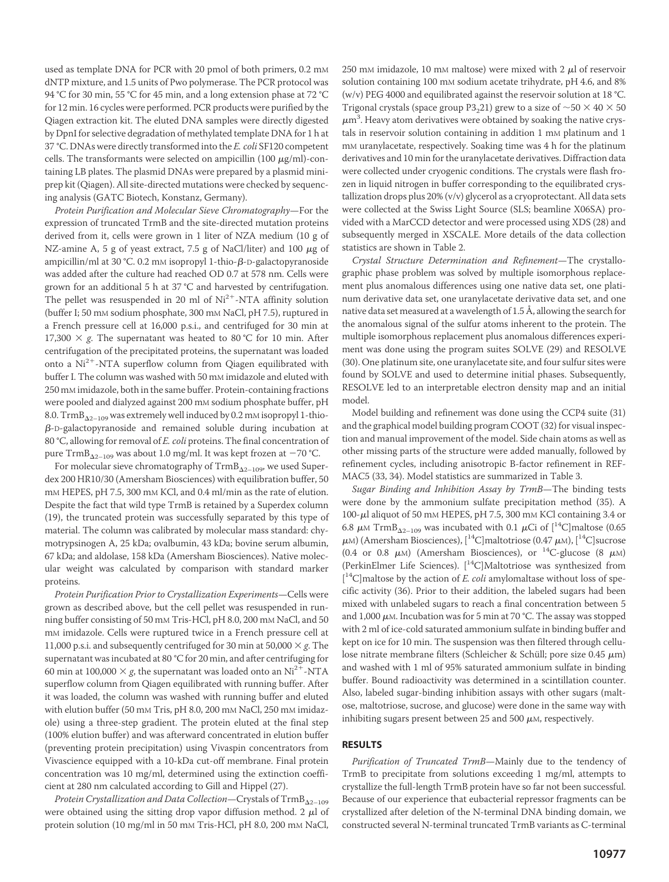used as template DNA for PCR with 20 pmol of both primers, 0.2 mM dNTP mixture, and 1.5 units of Pwo polymerase. The PCR protocol was 94 °C for 30 min, 55 °C for 45 min, and a long extension phase at 72 °C for 12 min. 16 cycles were performed. PCR products were purified by the Qiagen extraction kit. The eluted DNA samples were directly digested by DpnI for selective degradation of methylated template DNA for 1 h at 37 °C. DNAs were directly transformed into the *E. coli* SF120 competent cells. The transformants were selected on ampicillin (100  $\mu$ g/ml)-containing LB plates. The plasmid DNAs were prepared by a plasmid miniprep kit (Qiagen). All site-directed mutations were checked by sequencing analysis (GATC Biotech, Konstanz, Germany).

*Protein Purification and Molecular Sieve Chromatography*—For the expression of truncated TrmB and the site-directed mutation proteins derived from it, cells were grown in 1 liter of NZA medium (10 g of NZ-amine A, 5 g of yeast extract, 7.5 g of NaCl/liter) and 100  $\mu$ g of ampicillin/ml at 30 °C. 0.2 mM isopropyl 1-thio- $\beta$ -D-galactopyranoside was added after the culture had reached OD 0.7 at 578 nm. Cells were grown for an additional 5 h at 37 °C and harvested by centrifugation. The pellet was resuspended in 20 ml of  $Ni<sup>2+</sup>$ -NTA affinity solution (buffer I; 50 mM sodium phosphate, 300 mM NaCl, pH 7.5), ruptured in a French pressure cell at 16,000 p.s.i., and centrifuged for 30 min at 17,300  $\times$  g. The supernatant was heated to 80 °C for 10 min. After centrifugation of the precipitated proteins, the supernatant was loaded onto a  $Ni<sup>2+</sup>$ -NTA superflow column from Qiagen equilibrated with buffer I. The column was washed with 50 mM imidazole and eluted with 250 mM imidazole, both in the same buffer. Protein-containing fractions were pooled and dialyzed against 200 mM sodium phosphate buffer, pH 8.0.  $\mathrm{TrmB_{\Delta2-109}}$  was extremely well induced by 0.2 mM isopropyl 1-thio- $\beta$ -D-galactopyranoside and remained soluble during incubation at 80 °C, allowing for removal of *E. coli* proteins. The final concentration of pure  $\mathrm{TrmB}_{\Delta2-109}$  was about 1.0 mg/ml. It was kept frozen at  $-70$  °C.

For molecular sieve chromatography of  $\mathrm{TrmB}_{\Delta2-109}$ , we used Superdex 200 HR10/30 (Amersham Biosciences) with equilibration buffer, 50 mM HEPES, pH 7.5, 300 mM KCl, and 0.4 ml/min as the rate of elution. Despite the fact that wild type TrmB is retained by a Superdex column (19), the truncated protein was successfully separated by this type of material. The column was calibrated by molecular mass standard: chymotrypsinogen A, 25 kDa; ovalbumin, 43 kDa; bovine serum albumin, 67 kDa; and aldolase, 158 kDa (Amersham Biosciences). Native molecular weight was calculated by comparison with standard marker proteins.

*Protein Purification Prior to Crystallization Experiments*—Cells were grown as described above, but the cell pellet was resuspended in running buffer consisting of 50 mM Tris-HCl, pH 8.0, 200 mM NaCl, and 50 mM imidazole. Cells were ruptured twice in a French pressure cell at 11,000 p.s.i. and subsequently centrifuged for 30 min at 50,000  $\times$  g. The supernatant was incubated at 80 °C for 20 min, and after centrifuging for 60 min at 100,000  $\times$  *g*, the supernatant was loaded onto an Ni<sup>2+</sup>-NTA superflow column from Qiagen equilibrated with running buffer. After it was loaded, the column was washed with running buffer and eluted with elution buffer (50 mm Tris, pH 8.0, 200 mm NaCl, 250 mm imidazole) using a three-step gradient. The protein eluted at the final step (100% elution buffer) and was afterward concentrated in elution buffer (preventing protein precipitation) using Vivaspin concentrators from Vivascience equipped with a 10-kDa cut-off membrane. Final protein concentration was 10 mg/ml, determined using the extinction coefficient at 280 nm calculated according to Gill and Hippel (27).

*Protein Crystallization and Data Collection*—Crystals of TrmB-2–109 were obtained using the sitting drop vapor diffusion method. 2  $\mu$ l of protein solution (10 mg/ml in 50 mM Tris-HCl, pH 8.0, 200 mM NaCl, 250 mM imidazole, 10 mM maltose) were mixed with 2  $\mu$ l of reservoir solution containing 100 mM sodium acetate trihydrate, pH 4.6, and 8% (w/v) PEG 4000 and equilibrated against the reservoir solution at 18 °C. Trigonal crystals (space group P3<sub>2</sub>21) grew to a size of  $\sim$  50  $\times$  40  $\times$  50  $\mu$ m<sup>3</sup>. Heavy atom derivatives were obtained by soaking the native crystals in reservoir solution containing in addition 1 mM platinum and 1 mM uranylacetate, respectively. Soaking time was 4 h for the platinum derivatives and 10 min for the uranylacetate derivatives. Diffraction data were collected under cryogenic conditions. The crystals were flash frozen in liquid nitrogen in buffer corresponding to the equilibrated crystallization drops plus 20% (v/v) glycerol as a cryoprotectant. All data sets were collected at the Swiss Light Source (SLS; beamline X06SA) provided with a MarCCD detector and were processed using XDS (28) and subsequently merged in XSCALE. More details of the data collection statistics are shown in Table 2.

*Crystal Structure Determination and Refinement*—The crystallographic phase problem was solved by multiple isomorphous replacement plus anomalous differences using one native data set, one platinum derivative data set, one uranylacetate derivative data set, and one native data set measured at a wavelength of 1.5 Å, allowing the search for the anomalous signal of the sulfur atoms inherent to the protein. The multiple isomorphous replacement plus anomalous differences experiment was done using the program suites SOLVE (29) and RESOLVE (30). One platinum site, one uranylacetate site, and four sulfur sites were found by SOLVE and used to determine initial phases. Subsequently, RESOLVE led to an interpretable electron density map and an initial model.

Model building and refinement was done using the CCP4 suite (31) and the graphical model building program COOT (32) for visual inspection and manual improvement of the model. Side chain atoms as well as other missing parts of the structure were added manually, followed by refinement cycles, including anisotropic B-factor refinement in REF-MAC5 (33, 34). Model statistics are summarized in Table 3.

*Sugar Binding and Inhibition Assay by TrmB*—The binding tests were done by the ammonium sulfate precipitation method (35). A 100-µl aliquot of 50 mM HEPES, pH 7.5, 300 mM KCl containing 3.4 or 6.8  $\mu$ M TrmB<sub> $\Delta$ 2–109</sub> was incubated with 0.1  $\mu$ Ci of [<sup>14</sup>C]maltose (0.65  $\mu$ M) (Amersham Biosciences), [<sup>14</sup>C]maltotriose (0.47  $\mu$ M), [<sup>14</sup>C]sucrose (0.4 or 0.8  $\mu$ M) (Amersham Biosciences), or <sup>14</sup>C-glucose (8  $\mu$ M) (PerkinElmer Life Sciences). [14C]Maltotriose was synthesized from [<sup>14</sup>C]maltose by the action of *E. coli* amylomaltase without loss of specific activity (36). Prior to their addition, the labeled sugars had been mixed with unlabeled sugars to reach a final concentration between 5 and 1,000  $\mu$ M. Incubation was for 5 min at 70 °C. The assay was stopped with 2 ml of ice-cold saturated ammonium sulfate in binding buffer and kept on ice for 10 min. The suspension was then filtered through cellulose nitrate membrane filters (Schleicher & Schüll; pore size 0.45  $\mu$ m) and washed with 1 ml of 95% saturated ammonium sulfate in binding buffer. Bound radioactivity was determined in a scintillation counter. Also, labeled sugar-binding inhibition assays with other sugars (maltose, maltotriose, sucrose, and glucose) were done in the same way with inhibiting sugars present between 25 and 500  $\mu$ M, respectively.

### **RESULTS**

*Purification of Truncated TrmB*—Mainly due to the tendency of TrmB to precipitate from solutions exceeding 1 mg/ml, attempts to crystallize the full-length TrmB protein have so far not been successful. Because of our experience that eubacterial repressor fragments can be crystallized after deletion of the N-terminal DNA binding domain, we constructed several N-terminal truncated TrmB variants as C-terminal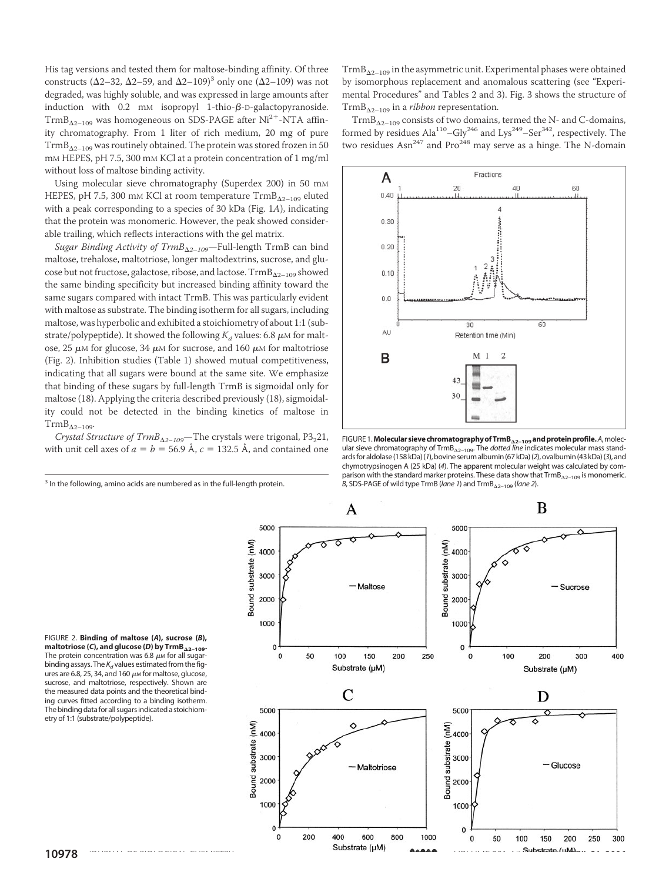His tag versions and tested them for maltose-binding affinity. Of three constructs ( $\Delta$ 2–32,  $\Delta$ 2–59, and  $\Delta$ 2–109)<sup>3</sup> only one ( $\Delta$ 2–109) was not degraded, was highly soluble, and was expressed in large amounts after induction with  $0.2$  mM isopropyl 1-thio- $\beta$ -D-galactopyranoside.  $\text{TrmB}_{\Delta2-109}$  was homogeneous on SDS-PAGE after Ni<sup>2+</sup>-NTA affinity chromatography. From 1 liter of rich medium, 20 mg of pure  $\mathrm{TrmB}_{\Delta2-109}$  was routinely obtained. The protein was stored frozen in 50 mM HEPES, pH 7.5, 300 mM KCl at a protein concentration of 1 mg/ml without loss of maltose binding activity.

Using molecular sieve chromatography (Superdex 200) in 50 mM HEPES, pH 7.5, 300 mm KCl at room temperature  $\mathrm{TrmB}_{\Delta2-109}$  eluted with a peak corresponding to a species of 30 kDa (Fig. 1*A*), indicating that the protein was monomeric. However, the peak showed considerable trailing, which reflects interactions with the gel matrix.

*Sugar Binding Activity of TrmB*-*2–109*—Full-length TrmB can bind maltose, trehalose, maltotriose, longer maltodextrins, sucrose, and glucose but not fructose, galactose, ribose, and lactose.  $\mathrm{TrmB_{\Delta2-109}}$  showed the same binding specificity but increased binding affinity toward the same sugars compared with intact TrmB. This was particularly evident with maltose as substrate. The binding isotherm for all sugars, including maltose, was hyperbolic and exhibited a stoichiometry of about 1:1 (substrate/polypeptide). It showed the following  $K_d$  values: 6.8  $\mu$ M for maltose, 25  $\mu$ M for glucose, 34  $\mu$ M for sucrose, and 160  $\mu$ M for maltotriose (Fig. 2). Inhibition studies (Table 1) showed mutual competitiveness, indicating that all sugars were bound at the same site. We emphasize that binding of these sugars by full-length TrmB is sigmoidal only for maltose (18). Applying the criteria described previously (18), sigmoidality could not be detected in the binding kinetics of maltose in  $\text{TrmB}_{\Delta 2-109}$ 

*Crystal Structure of TrmB*<sub> $\Delta$ 2-109</sub>—The crystals were trigonal, P3<sub>2</sub>21, with unit cell axes of  $a = b = 56.9$  Å,  $c = 132.5$  Å, and contained one

 $\mathrm{TrmB}_{\Delta2-109}$  in the asymmetric unit. Experimental phases were obtained by isomorphous replacement and anomalous scattering (see "Experimental Procedures" and Tables 2 and 3). Fig. 3 shows the structure of TrmB-2–109 in a *ribbon* representation.

 $\mathrm{TrmB_{\Delta2-109}}$  consists of two domains, termed the N- and C-domains, formed by residues  $Ala^{110}-Gly^{246}$  and  $Lys^{249}-Ser^{342}$ , respectively. The two residues Asn<sup>247</sup> and Pro<sup>248</sup> may serve as a hinge. The N-domain



FIGURE 1.**MolecularsievechromatographyofTrmB**-**2–109andproteinprofile.***A*,molecular sieve chromatography of TrmB<sub> $\Delta$ 2-109</sub>. The *dotted line* indicates molecular mass standardsforaldolase(158 kDa)(*1*), bovine serumalbumin(67 kDa)(*2*), ovalbumin(43 kDa)(*3*),and chymotrypsinogen A (25 kDa) (*4*). The apparent molecular weight was calculated by comparison with the standard marker proteins. These data show that  $\text{TrmB}_{\Delta 2-109}$  is monomeric. *B*, SDS-PAGE of wild type TrmB (*lane 1*) and TrmB-2–109 (*lane 2*).



FIGURE 2. **Binding of maltose (***A***), sucrose (***B***), maltotriose (***C***), and glucose (***D***) by TrmB**-**2–109.** The protein concentration was 6.8  $\mu$ <sub>M</sub> for all sugarbinding assays. The  $K_d$  values estimated from the figures are 6.8, 25, 34, and 160  $\mu$  for maltose, glucose, sucrose, and maltotriose, respectively. Shown are the measured data points and the theoretical binding curves fitted according to a binding isotherm. The binding datafor all sugars indicated a stoichiometry of 1:1 (substrate/polypeptide).

<sup>&</sup>lt;sup>3</sup> In the following, amino acids are numbered as in the full-length protein.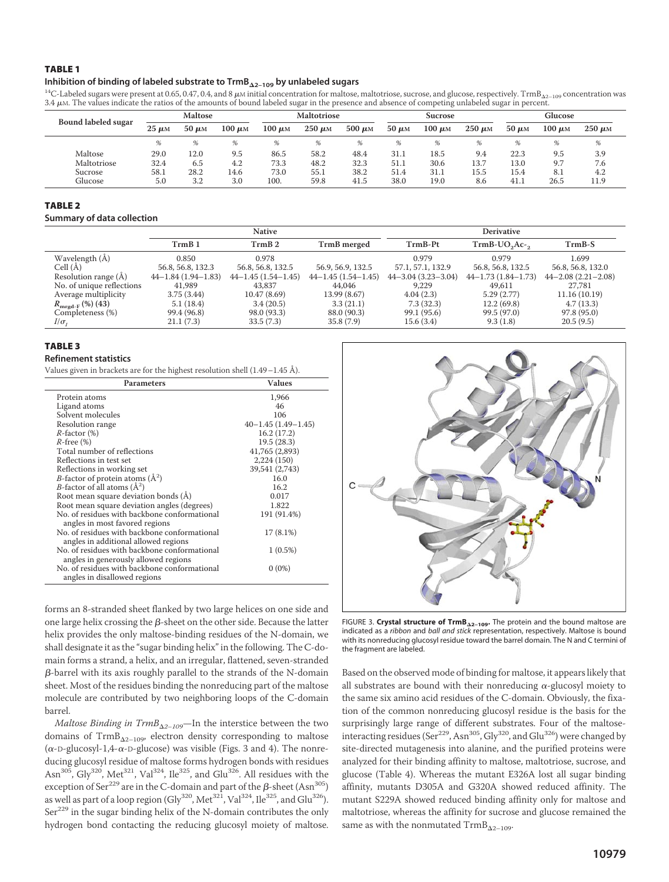#### TABLE 1

#### Inhibition of binding of labeled substrate to TrmB<sub>A2-109</sub> by unlabeled sugars

**Inhibition of binding of labeled substrate to TrmB<sub>Δ2-109</sub> by unlabeled sugars**<br><sup>14</sup>C-Labeled sugars were present at 0.65, 0.47, 0.4, and 8 μM initial concentration for maltose, maltotriose, sucrose, and glucose, respect  $3.4 \mu$ M. The values indicate the ratios of the amounts of bound labeled sugar in the presence and absence of competing unlabeled sugar in percent.

| Bound labeled sugar | <b>Maltose</b> |            | <b>Maltotriose</b> |             | <b>Sucrose</b> |             |            | Glucose     |             |            |             |             |
|---------------------|----------------|------------|--------------------|-------------|----------------|-------------|------------|-------------|-------------|------------|-------------|-------------|
|                     | $25 \mu M$     | $50 \mu M$ | $100 \mu M$        | $100 \mu M$ | $250 \mu M$    | $500 \mu M$ | $50 \mu M$ | $100 \mu M$ | $250 \mu M$ | $50 \mu M$ | $100 \mu M$ | $250 \mu M$ |
|                     | %              | %          | %                  | %           | %              |             |            |             | %           | %          | %           | %           |
| Maltose             | 29.0           | 12.0       | 9.5                | 86.5        | 58.2           | 48.4        | 31.1       | 18.5        | 9.4         | 22.3       | 9.5         | 3.9         |
| Maltotriose         | 32.4           | 6.5        | 4.2                | 73.3        | 48.2           | 32.3        | 51.1       | 30.6        | 13.7        | 13.0       | 9.7         | 7.6         |
| Sucrose             | 58.1           | 28.2       | 14.6               | 73.0        | 55.1           | 38.2        | 51.4       | 31.1        | 15.5        | 15.4       | 8.1         | 4.2         |
| Glucose             | 5.0            | 3.2        | 3.0                | 100.        | 59.8           | 41.5        | 38.0       | 19.0        | 8.6         | 41.1       | 26.5        | 11.9        |

# TABLE 2

#### **Summary of data collection**

|                                                                     |                      | <b>Native</b>            |                      | <b>Derivative</b>           |                          |                          |  |
|---------------------------------------------------------------------|----------------------|--------------------------|----------------------|-----------------------------|--------------------------|--------------------------|--|
|                                                                     | TrmB <sub>1</sub>    | TrmB 2                   | TrmB merged          | TrmB-Pt                     | $TrmB-UO2Ac-2$           | $TrmB-S$                 |  |
| Wavelength (Å)                                                      | 0.850                | 0.978                    |                      | 0.979                       | 0.979                    | 1.699                    |  |
| Cell $(A)$                                                          | 56.8, 56.8, 132.3    | 56.8, 56.8, 132.5        | 56.9, 56.9, 132.5    | 57.1, 57.1, 132.9           | 56.8, 56.8, 132.5        | 56.8, 56.8, 132.0        |  |
| Resolution range (A)                                                | $44-1.84(1.94-1.83)$ | $44 - 1.45(1.54 - 1.45)$ | $44-1.45(1.54-1.45)$ | $44 - 3.04$ $(3.23 - 3.04)$ | $44 - 1.73(1.84 - 1.73)$ | $44 - 2.08(2.21 - 2.08)$ |  |
| No. of unique reflections                                           | 41,989               | 43,837                   | 44,046               | 9.229                       | 49,611                   | 27,781                   |  |
| Average multiplicity                                                | 3.75(3.44)           | 10.47(8.69)              | 13.99 (8.67)         | 4.04(2.3)                   | 5.29(2.77)               | 11.16 (10.19)            |  |
| $R_{\rm mrgd\text{-}F}\left(\text{\%}\right)\left(\text{43}\right)$ | 5.1(18.4)            | 3.4(20.5)                | 3.3(21.1)            | 7.3(32.3)                   | 12.2(69.8)               | 4.7(13.3)                |  |
| Completeness (%)                                                    | 99.4 (96.8)          | 98.0 (93.3)              | 88.0 (90.3)          | 99.1 (95.6)                 | 99.5 (97.0)              | 97.8 (95.0)              |  |
| $I/\sigma_r$                                                        | 21.1(7.3)            | 33.5(7.3)                | 35.8(7.9)            | 15.6 (3.4)                  | 9.3(1.8)                 | 20.5(9.5)                |  |

# TABLE 3

#### **Refinement statistics**

Values given in brackets are for the highest resolution shell (1.49–1.45 Å).

| Parameters                                                                           | <b>Values</b>            |
|--------------------------------------------------------------------------------------|--------------------------|
| Protein atoms                                                                        | 1,966                    |
| Ligand atoms                                                                         | 46                       |
| Solvent molecules                                                                    | 106                      |
| Resolution range                                                                     | $40 - 1.45(1.49 - 1.45)$ |
| $R$ -factor $(\%)$                                                                   | 16.2(17.2)               |
| $R$ -free $(\%)$                                                                     | 19.5 (28.3)              |
| Total number of reflections                                                          | 41,765 (2,893)           |
| Reflections in test set                                                              | 2,224 (150)              |
| Reflections in working set                                                           | 39,541 (2,743)           |
| <i>B</i> -factor of protein atoms $(A^2)$                                            | 16.0                     |
| <i>B</i> -factor of all atoms $(\AA^2)$                                              | 16.2                     |
| Root mean square deviation bonds (A)                                                 | 0.017                    |
| Root mean square deviation angles (degrees)                                          | 1.822                    |
| No, of residues with backbone conformational<br>angles in most favored regions       | 191 (91.4%)              |
| No. of residues with backbone conformational<br>angles in additional allowed regions | 17 (8.1%)                |
| No. of residues with backbone conformational<br>angles in generously allowed regions | $1(0.5\%)$               |
| No. of residues with backbone conformational<br>angles in disallowed regions         | $0(0\%)$                 |



 $\emph{Maltose Binding in TrmB}_{\Delta 2-109}$ —In the interstice between the two domains of  $\mathrm{TrmB}_{\Delta2-109}$ , electron density corresponding to maltose ( $\alpha$ -D-glucosyl-1,4- $\alpha$ -D-glucose) was visible (Figs. 3 and 4). The nonreducing glucosyl residue of maltose forms hydrogen bonds with residues Asn<sup>305</sup>, Gly<sup>320</sup>, Met<sup>321</sup>, Val<sup>324</sup>, Ile<sup>325</sup>, and Glu<sup>326</sup>. All residues with the exception of Ser<sup>229</sup> are in the C-domain and part of the  $\beta$ -sheet (Asn<sup>305</sup>) as well as part of a loop region (Gly<sup>320</sup>, Met<sup>321</sup>, Val<sup>324</sup>, Ile<sup>325</sup>, and Glu<sup>326</sup>).  $Ser<sup>229</sup>$  in the sugar binding helix of the N-domain contributes the only hydrogen bond contacting the reducing glucosyl moiety of maltose.



FIGURE 3. **Crystal structure of TrmB**-**2–109.** The protein and the bound maltose are indicated as a *ribbon* and *ball and stick* representation, respectively. Maltose is bound with its nonreducing glucosyl residue toward the barrel domain. The N and C termini of the fragment are labeled.

Based on the observed mode of binding for maltose, it appears likely that all substrates are bound with their nonreducing  $\alpha$ -glucosyl moiety to the same six amino acid residues of the C-domain. Obviously, the fixation of the common nonreducing glucosyl residue is the basis for the surprisingly large range of different substrates. Four of the maltoseinteracting residues ( $\text{Ser}^{229}$ , Asn<sup>305</sup>, Gly<sup>320</sup>, and Glu<sup>326</sup>) were changed by site-directed mutagenesis into alanine, and the purified proteins were analyzed for their binding affinity to maltose, maltotriose, sucrose, and glucose (Table 4). Whereas the mutant E326A lost all sugar binding affinity, mutants D305A and G320A showed reduced affinity. The mutant S229A showed reduced binding affinity only for maltose and maltotriose, whereas the affinity for sucrose and glucose remained the same as with the nonmutated  $\mathrm{TrmB}_{\Delta2-109}.$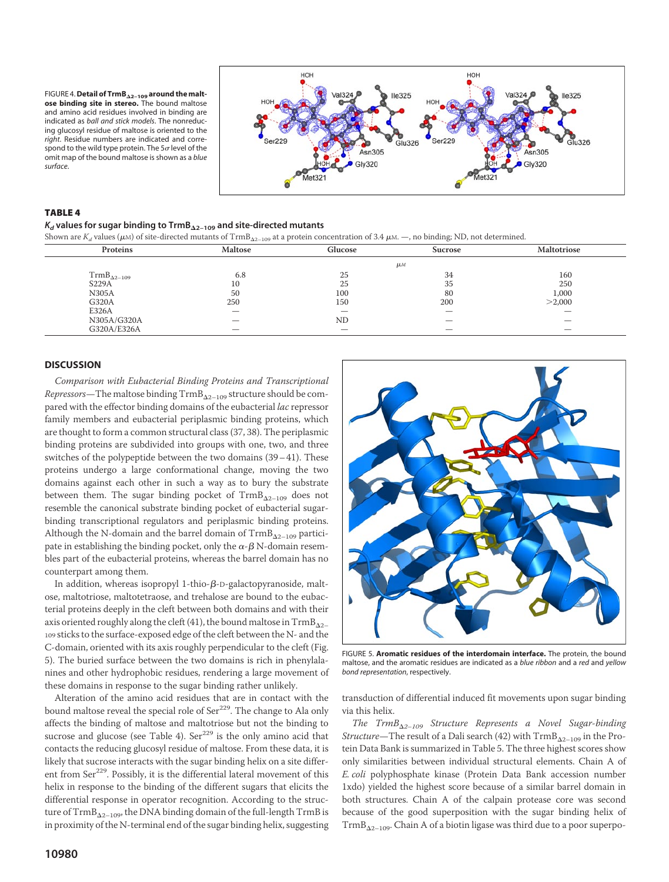FIGURE 4.**Detail of TrmB**-**2–109 around the malt-ose binding site in stereo.** The bound maltose and amino acid residues involved in binding are indicated as *ball and stick models*. The nonreducing glucosyl residue of maltose is oriented to the *right*. Residue numbers are indicated and correspond to the wild type protein. The  $5\sigma$  level of the omit map of the bound maltose is shown as a *blue surface*.



#### TABLE 4

### $K_d$  values for sugar binding to TrmB $_{\Delta 2-109}$  and site-directed mutants

Shown are  $K_d$  values ( $\mu$ м) of site-directed mutants of TrmB<sub>A2–109</sub> at a protein concentration of 3.4  $\mu$ м. —, no binding; ND, not determined.

| Proteins             | Maltose | Glucose   | <b>Sucrose</b>     | <b>Maltotriose</b> |
|----------------------|---------|-----------|--------------------|--------------------|
|                      |         |           | $\mu$ <sub>M</sub> |                    |
| $TrmB_{\Delta2-109}$ | 6.8     | 25        | 34                 | 160                |
| S229A                | 10      | 25        | 35                 | 250                |
| <b>N305A</b>         | 50      | 100       | 80                 | 1,000              |
| G320A                | 250     | 150       | 200                | >2,000             |
| E326A                |         |           | –                  |                    |
| N305A/G320A          |         | <b>ND</b> |                    |                    |
| G320A/E326A          |         |           |                    |                    |

#### **DISCUSSION**

*Comparison with Eubacterial Binding Proteins and Transcriptional Repressors*—The maltose binding TrmB-2–109 structure should be compared with the effector binding domains of the eubacterial *lac* repressor family members and eubacterial periplasmic binding proteins, which are thought to form a common structural class (37, 38). The periplasmic binding proteins are subdivided into groups with one, two, and three switches of the polypeptide between the two domains (39–41). These proteins undergo a large conformational change, moving the two domains against each other in such a way as to bury the substrate between them. The sugar binding pocket of  $\mathrm{TrmB}_{\Delta2-109}$  does not resemble the canonical substrate binding pocket of eubacterial sugarbinding transcriptional regulators and periplasmic binding proteins. Although the N-domain and the barrel domain of  $\mathrm{TrmB}_{\Delta2-109}$  participate in establishing the binding pocket, only the  $\alpha$ - $\beta$  N-domain resembles part of the eubacterial proteins, whereas the barrel domain has no counterpart among them.

In addition, whereas isopropyl 1-thio- $\beta$ -D-galactopyranoside, maltose, maltotriose, maltotetraose, and trehalose are bound to the eubacterial proteins deeply in the cleft between both domains and with their axis oriented roughly along the cleft (41), the bound maltose in  $\mathrm{TrmB}_{\Delta 2-}$ 109 sticks to the surface-exposed edge of the cleft between the N- and the C-domain, oriented with its axis roughly perpendicular to the cleft (Fig. 5). The buried surface between the two domains is rich in phenylalanines and other hydrophobic residues, rendering a large movement of these domains in response to the sugar binding rather unlikely.

Alteration of the amino acid residues that are in contact with the bound maltose reveal the special role of Ser<sup>229</sup>. The change to Ala only affects the binding of maltose and maltotriose but not the binding to sucrose and glucose (see Table 4).  $\text{Ser}^{229}$  is the only amino acid that contacts the reducing glucosyl residue of maltose. From these data, it is likely that sucrose interacts with the sugar binding helix on a site different from Ser<sup>229</sup>. Possibly, it is the differential lateral movement of this helix in response to the binding of the different sugars that elicits the differential response in operator recognition. According to the structure of  $\mathrm{TrmB}_{\Delta2-109}$ , the DNA binding domain of the full-length  $\mathrm{TrmB}$  is in proximity of the N-terminal end of the sugar binding helix, suggesting



FIGURE 5. **Aromatic residues of the interdomain interface.** The protein, the bound maltose, and the aromatic residues are indicated as a *blue ribbon* and a *red* and *yellow bond representation*, respectively.

transduction of differential induced fit movements upon sugar binding via this helix.

*The TrmB*-*2–109 Structure Represents a Novel Sugar-binding Structure—*The result of a Dali search (42) with  $\mathrm{TrmB}_{\Delta 2-109}$  in the Protein Data Bank is summarized in Table 5. The three highest scores show only similarities between individual structural elements. Chain A of *E. coli* polyphosphate kinase (Protein Data Bank accession number 1xdo) yielded the highest score because of a similar barrel domain in both structures. Chain A of the calpain protease core was second because of the good superposition with the sugar binding helix of  $\mathrm{TrmB}_{\Delta2-109}$ . Chain A of a biotin ligase was third due to a poor superpo-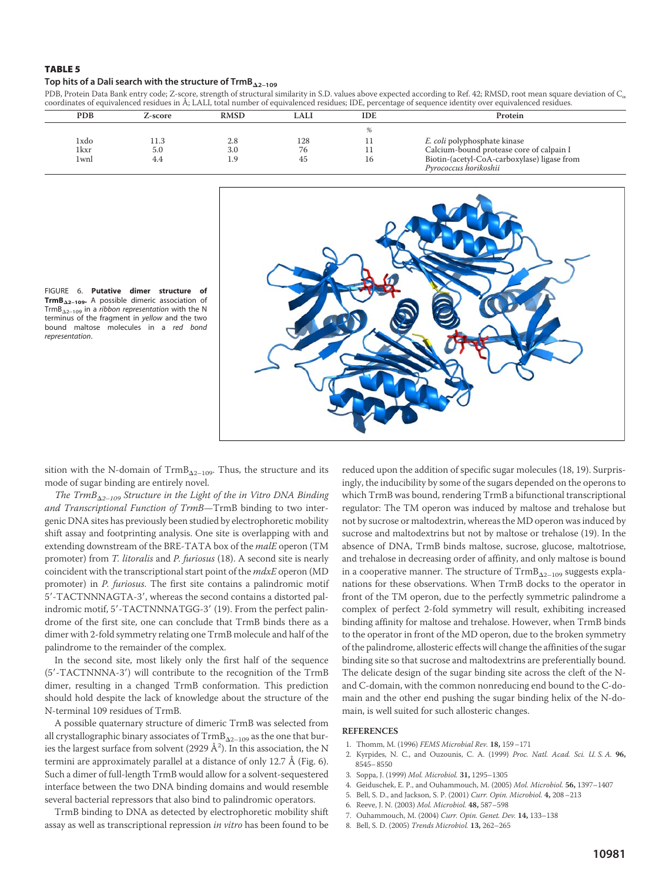### TABLE 5

### Top hits of a Dali search with the structure of  $\mathsf{TrmB}_{\Delta 2-109}$

PDB, Protein Data Bank entry code; Z-score, strength of structural similarity in S.D. values above expected according to Ref. 42; RMSD, root mean square deviation of  $C_{\alpha}$ coordinates of equivalenced residues in Å; LALI, total number of equivalenced residues; IDE, percentage of sequence identity over equivalenced residues.

| <b>PDB</b> | Z-score | <b>RMSD</b> | LALI | <b>IDE</b> | Protein                                     |
|------------|---------|-------------|------|------------|---------------------------------------------|
|            |         |             |      |            |                                             |
| 1xdo       | 11.3    | 2.8         | 128  |            | E. coli polyphosphate kinase                |
| 1kxr       | 5.0     | 3.0         | 76   |            | Calcium-bound protease core of calpain I    |
| 1wnl       | 4.4     | 1.9         | 45   |            | Biotin-(acetyl-CoA-carboxylase) ligase from |
|            |         |             |      |            | Pyrococcus horikoshii                       |



FIGURE 6. **Putative dimer structure of TrmB**-**2–109.** A possible dimeric association of TrmB-2–109 in a *ribbon representation* with the N terminus of the fragment in *yellow* and the two bound maltose molecules in a *red bond representation*.

sition with the N-domain of  $\mathrm{TrmB}_{\Delta 2-109}$ . Thus, the structure and its mode of sugar binding are entirely novel.

*The TrmB*-*2–109 Structure in the Light of the in Vitro DNA Binding and Transcriptional Function of TrmB*—TrmB binding to two intergenic DNA sites has previously been studied by electrophoretic mobility shift assay and footprinting analysis. One site is overlapping with and extending downstream of the BRE-TATA box of the *malE* operon (TM promoter) from *T. litoralis* and *P. furiosus* (18). A second site is nearly coincident with the transcriptional start point of the *mdxE* operon (MD promoter) in *P. furiosus*. The first site contains a palindromic motif 5-TACTNNNAGTA-3, whereas the second contains a distorted palindromic motif, 5'-TACTNNNATGG-3' (19). From the perfect palindrome of the first site, one can conclude that TrmB binds there as a dimer with 2-fold symmetry relating one TrmB molecule and half of the palindrome to the remainder of the complex.

In the second site, most likely only the first half of the sequence (5-TACTNNNA-3) will contribute to the recognition of the TrmB dimer, resulting in a changed TrmB conformation. This prediction should hold despite the lack of knowledge about the structure of the N-terminal 109 residues of TrmB.

A possible quaternary structure of dimeric TrmB was selected from all crystallographic binary associates of  $\mathrm{TrmB}_{\Delta2-109}$  as the one that buries the largest surface from solvent (2929  $\rm \AA^2$ ). In this association, the N termini are approximately parallel at a distance of only 12.7 Å (Fig. 6). Such a dimer of full-length TrmB would allow for a solvent-sequestered interface between the two DNA binding domains and would resemble several bacterial repressors that also bind to palindromic operators.

TrmB binding to DNA as detected by electrophoretic mobility shift assay as well as transcriptional repression *in vitro* has been found to be reduced upon the addition of specific sugar molecules (18, 19). Surprisingly, the inducibility by some of the sugars depended on the operons to which TrmB was bound, rendering TrmB a bifunctional transcriptional regulator: The TM operon was induced by maltose and trehalose but not by sucrose or maltodextrin, whereas the MD operon was induced by sucrose and maltodextrins but not by maltose or trehalose (19). In the absence of DNA, TrmB binds maltose, sucrose, glucose, maltotriose, and trehalose in decreasing order of affinity, and only maltose is bound in a cooperative manner. The structure of  $\mathrm{TrmB}_{\Delta2-109}$  suggests explanations for these observations. When TrmB docks to the operator in front of the TM operon, due to the perfectly symmetric palindrome a complex of perfect 2-fold symmetry will result, exhibiting increased binding affinity for maltose and trehalose. However, when TrmB binds to the operator in front of the MD operon, due to the broken symmetry of the palindrome, allosteric effects will change the affinities of the sugar binding site so that sucrose and maltodextrins are preferentially bound. The delicate design of the sugar binding site across the cleft of the Nand C-domain, with the common nonreducing end bound to the C-domain and the other end pushing the sugar binding helix of the N-domain, is well suited for such allosteric changes.

#### **REFERENCES**

- 1. Thomm, M. (1996) *FEMS Microbial Rev.* **18,** 159–171
- 2. Kyrpides, N. C., and Ouzounis, C. A. (1999) *Proc. Natl. Acad. Sci. U. S. A.* **96,** 8545–8550
- 3. Soppa, J. (1999) *Mol. Microbiol.* **31,** 1295–1305
- 4. Geiduschek, E. P., and Ouhammouch, M. (2005) *Mol. Microbiol.* **56,** 1397–1407
- 5. Bell, S. D., and Jackson, S. P. (2001) *Curr. Opin. Microbiol.* **4,** 208–213
- 6. Reeve, J. N. (2003) *Mol. Microbiol.* **48,** 587–598
- 7. Ouhammouch, M. (2004) *Curr. Opin. Genet. Dev.* **14,** 133–138
- 8. Bell, S. D. (2005) *Trends Microbiol.* **13,** 262–265